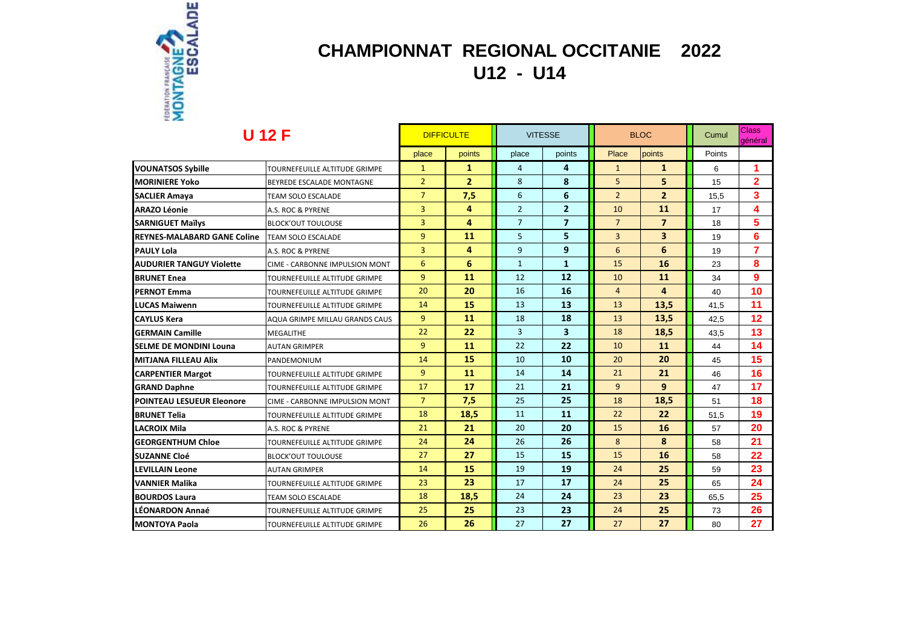

### **CHAMPIONNAT REGIONAL OCCITANIE 2022 U12 - U14**

| <b>U</b> 12 F                    |                                | <b>DIFFICULTE</b> |                | <b>VITESSE</b> |                         | <b>BLOC</b>    |                         | Cumul  | <b>Class</b><br>général |
|----------------------------------|--------------------------------|-------------------|----------------|----------------|-------------------------|----------------|-------------------------|--------|-------------------------|
|                                  |                                | place             | points         | place          | points                  | Place          | points                  | Points |                         |
| <b>VOUNATSOS Sybille</b>         | TOURNEFEUILLE ALTITUDE GRIMPE  | $\mathbf{1}$      | 1              | $\overline{4}$ | 4                       | $\mathbf{1}$   | $\mathbf{1}$            | 6      |                         |
| <b>MORINIERE Yoko</b>            | BEYREDE ESCALADE MONTAGNE      | $\overline{2}$    | $\overline{2}$ | 8              | 8                       | 5              | 5                       | 15     | $\overline{2}$          |
| <b>SACLIER Amaya</b>             | TEAM SOLO ESCALADE             | $\overline{7}$    | 7,5            | 6              | 6                       | $\overline{2}$ | $\overline{2}$          | 15,5   | 3                       |
| <b>ARAZO Léonie</b>              | A.S. ROC & PYRENE              | $\overline{3}$    | 4              | $\overline{2}$ | $\overline{2}$          | 10             | 11                      | 17     | 4                       |
| <b>SARNIGUET Maïlys</b>          | <b>BLOCK'OUT TOULOUSE</b>      | $\overline{3}$    | 4              | $\overline{7}$ | $\overline{7}$          | $\overline{7}$ | $\overline{7}$          | 18     | 5                       |
| REYNES-MALABARD GANE Coline      | TEAM SOLO ESCALADE             | $\overline{9}$    | 11             | 5              | 5                       | $\overline{3}$ | $\overline{\mathbf{3}}$ | 19     | 6                       |
| PAULY Lola                       | A.S. ROC & PYRENE              | 3                 | 4              | 9              | 9                       | 6              | 6                       | 19     | 7                       |
| <b>AUDURIER TANGUY Violette</b>  | CIME - CARBONNE IMPULSION MONT | 6                 | 6              | $\mathbf{1}$   | $\mathbf{1}$            | 15             | 16                      | 23     | 8                       |
| <b>BRUNET Enea</b>               | TOURNEFEUILLE ALTITUDE GRIMPE  | $\overline{9}$    | 11             | 12             | 12                      | 10             | 11                      | 34     | 9                       |
| <b>PERNOT Emma</b>               | TOURNEFEUILLE ALTITUDE GRIMPE  | 20                | 20             | 16             | 16                      | $\overline{4}$ | 4                       | 40     | 10                      |
| <b>LUCAS Maiwenn</b>             | TOURNEFEUILLE ALTITUDE GRIMPE  | 14                | 15             | 13             | 13                      | 13             | 13,5                    | 41.5   | 11                      |
| <b>CAYLUS Kera</b>               | AQUA GRIMPE MILLAU GRANDS CAUS | 9                 | 11             | 18             | 18                      | 13             | 13,5                    | 42.5   | 12                      |
| <b>GERMAIN Camille</b>           | <b>MEGALITHE</b>               | 22                | 22             | $\overline{3}$ | $\overline{\mathbf{3}}$ | 18             | 18,5                    | 43,5   | 13                      |
| <b>SELME DE MONDINI Louna</b>    | <b>AUTAN GRIMPER</b>           | $\overline{9}$    | 11             | 22             | 22                      | 10             | 11                      | 44     | 14                      |
| MITJANA FILLEAU Alix             | PANDEMONIUM                    | 14                | 15             | 10             | 10                      | 20             | 20                      | 45     | 15                      |
| <b>CARPENTIER Margot</b>         | TOURNEFEUILLE ALTITUDE GRIMPE  | 9                 | 11             | 14             | 14                      | 21             | 21                      | 46     | 16                      |
| <b>GRAND Daphne</b>              | TOURNEFEUILLE ALTITUDE GRIMPE  | 17                | 17             | 21             | 21                      | 9              | 9                       | 47     | 17                      |
| <b>POINTEAU LESUEUR Eleonore</b> | CIME - CARBONNE IMPULSION MONT | $\overline{7}$    | 7,5            | 25             | 25                      | 18             | 18,5                    | 51     | 18                      |
| <b>BRUNET Telia</b>              | TOURNEFEUILLE ALTITUDE GRIMPE  | 18                | 18,5           | 11             | 11                      | 22             | 22                      | 51,5   | 19                      |
| <b>LACROIX Mila</b>              | A.S. ROC & PYRENE              | 21                | 21             | 20             | 20                      | 15             | <b>16</b>               | 57     | 20                      |
| <b>GEORGENTHUM Chloe</b>         | TOURNEFEUILLE ALTITUDE GRIMPE  | 24                | 24             | 26             | 26                      | 8              | 8                       | 58     | 21                      |
| SUZANNE Cloé                     | <b>BLOCK'OUT TOULOUSE</b>      | 27                | 27             | 15             | 15                      | 15             | <b>16</b>               | 58     | 22                      |
| LEVILLAIN Leone                  | <b>AUTAN GRIMPER</b>           | 14                | 15             | 19             | 19                      | 24             | 25                      | 59     | 23                      |
| VANNIER Malika                   | TOURNEFEUILLE ALTITUDE GRIMPE  | 23                | 23             | 17             | 17                      | 24             | 25                      | 65     | 24                      |
| <b>BOURDOS Laura</b>             | <b>TEAM SOLO ESCALADE</b>      | 18                | 18,5           | 24             | 24                      | 23             | 23                      | 65,5   | 25                      |
| LÉONARDON Annaé                  | TOURNEFEUILLE ALTITUDE GRIMPE  | 25                | 25             | 23             | 23                      | 24             | 25                      | 73     | 26                      |
| <b>MONTOYA Paola</b>             | TOURNEFEUILLE ALTITUDE GRIMPE  | 26                | 26             | 27             | 27                      | 27             | 27                      | 80     | 27                      |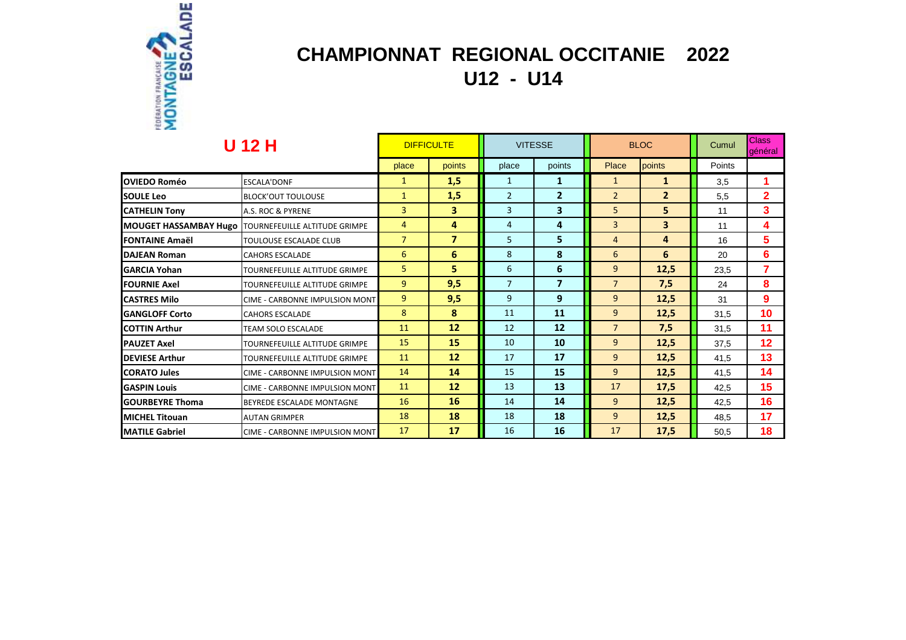

## **CHAMPIONNAT REGIONAL OCCITANIE 2022 U12 - U14**

| <b>U 12 H</b>          |                                                              | <b>DIFFICULTE</b> |                | <b>VITESSE</b> |                | <b>BLOC</b>    |                | Cumul  | <b>Class</b><br>laénéral |
|------------------------|--------------------------------------------------------------|-------------------|----------------|----------------|----------------|----------------|----------------|--------|--------------------------|
|                        |                                                              | place             | points         | place          | points         | Place          | points         | Points |                          |
| <b>OVIEDO Roméo</b>    | <b>ESCALA'DONF</b>                                           | $\mathbf{1}$      | 1,5            | $\mathbf{1}$   | 1              | $\mathbf{1}$   | $\mathbf{1}$   | 3.5    |                          |
| <b>SOULE Leo</b>       | <b>BLOCK'OUT TOULOUSE</b>                                    | $\mathbf{1}$      | 1,5            | $\overline{2}$ | $\overline{2}$ | $\overline{2}$ | $\overline{2}$ | 5,5    | $\overline{2}$           |
| <b>CATHELIN Tony</b>   | A.S. ROC & PYRENE                                            | 3                 | 3              | $\overline{3}$ | 3              | 5              | 5              | 11     | 3                        |
|                        | <b>MOUGET HASSAMBAY Hugo   TOURNEFEUILLE ALTITUDE GRIMPE</b> | 4                 | 4              | 4              | 4              | $\overline{3}$ | 3              | 11     | 4                        |
| <b>FONTAINE Amaël</b>  | TOULOUSE ESCALADE CLUB                                       | $\overline{7}$    | $\overline{7}$ | 5              | $5\phantom{a}$ | $\overline{4}$ | 4              | 16     | 5.                       |
| <b>DAJEAN Roman</b>    | <b>CAHORS ESCALADE</b>                                       | 6                 | 6              | 8              | 8              | 6              | 6              | 20     | 6                        |
| <b>GARCIA Yohan</b>    | TOURNEFEUILLE ALTITUDE GRIMPE                                | 5.                | 5              | 6              | 6              | $\overline{9}$ | 12,5           | 23.5   | 7                        |
| <b>FOURNIE Axel</b>    | TOURNEFEUILLE ALTITUDE GRIMPE                                | 9                 | 9,5            | $\overline{7}$ | $\overline{7}$ | $\overline{7}$ | 7,5            | 24     | 8                        |
| <b>CASTRES Milo</b>    | CIME - CARBONNE IMPULSION MONT                               | 9                 | 9,5            | 9              | 9              | $\overline{9}$ | 12,5           | 31     | 9                        |
| <b>GANGLOFF Corto</b>  | <b>CAHORS ESCALADE</b>                                       | 8                 | 8              | 11             | 11             | $\overline{9}$ | 12,5           | 31.5   | 10                       |
| <b>COTTIN Arthur</b>   | <b>TEAM SOLO ESCALADE</b>                                    | 11                | 12             | 12             | 12             | $\overline{7}$ | 7,5            | 31.5   | 11                       |
| <b>PAUZET Axel</b>     | TOURNEFEUILLE ALTITUDE GRIMPE                                | 15                | 15             | 10             | 10             | 9              | 12,5           | 37.5   | 12 <sub>2</sub>          |
| <b>DEVIESE Arthur</b>  | TOURNEFEUILLE ALTITUDE GRIMPE                                | 11                | 12             | 17             | 17             | $\overline{9}$ | 12,5           | 41.5   | 13                       |
| <b>CORATO Jules</b>    | <b>CIME - CARBONNE IMPULSION MONT</b>                        | 14                | 14             | 15             | 15             | $\overline{9}$ | 12,5           | 41.5   | 14                       |
| <b>GASPIN Louis</b>    | CIME - CARBONNE IMPULSION MONT                               | 11                | 12             | 13             | 13             | 17             | 17,5           | 42.5   | 15 <sub>1</sub>          |
| <b>GOURBEYRE Thoma</b> | BEYREDE ESCALADE MONTAGNE                                    | 16                | 16             | 14             | 14             | $\overline{9}$ | 12,5           | 42.5   | 16                       |
| <b>MICHEL Titouan</b>  | <b>AUTAN GRIMPER</b>                                         | 18                | 18             | 18             | 18             | $\overline{9}$ | 12,5           | 48,5   | 17                       |
| <b>MATILE Gabriel</b>  | CIME - CARBONNE IMPULSION MONT                               | 17                | 17             | 16             | <b>16</b>      | 17             | 17,5           | 50.5   | 18                       |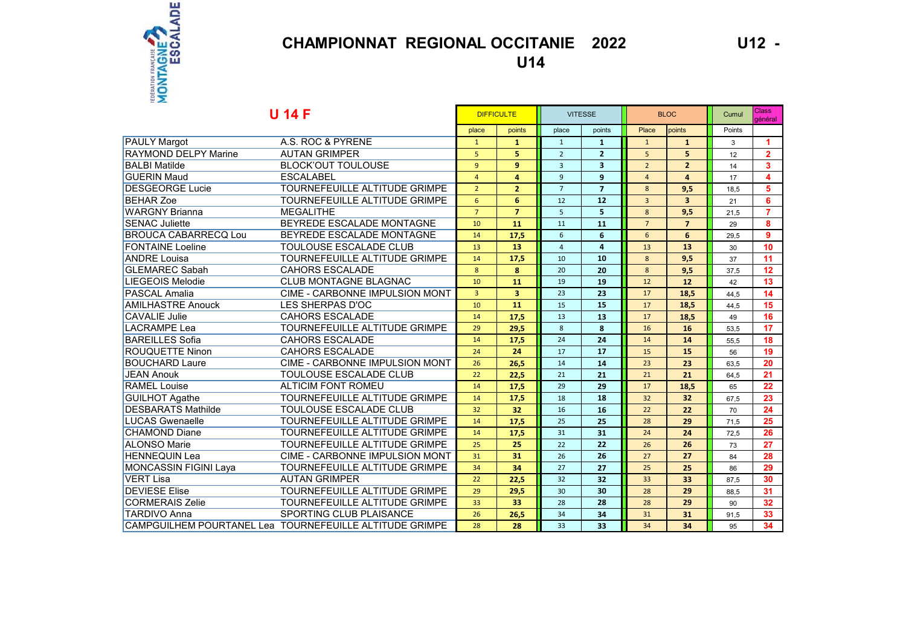

### **CHAMPIONNAT REGIONAL OCCITANIE 2022**

U12 -

**U14** 

| <b>U 14 F</b>               |                                                         |                 | <b>DIFFICULTE</b>       |                | <b>VITESSE</b>          |                | <b>BLOC</b>    |        | <b>Class</b><br>général |
|-----------------------------|---------------------------------------------------------|-----------------|-------------------------|----------------|-------------------------|----------------|----------------|--------|-------------------------|
|                             |                                                         | place           | points                  | place          | points                  | Place          | points         | Points |                         |
| <b>PAULY Margot</b>         | A.S. ROC & PYRENE                                       | $\mathbf{1}$    | 1                       | $\mathbf{1}$   | 1                       | $\mathbf{1}$   | $\mathbf{1}$   | 3      | 1                       |
| <b>RAYMOND DELPY Marine</b> | <b>AUTAN GRIMPER</b>                                    | 5               | 5                       | $\overline{2}$ | $\overline{2}$          | 5              | 5              | 12     | $\overline{2}$          |
| <b>BALBI</b> Matilde        | <b>BLOCK'OUT TOULOUSE</b>                               | $\overline{9}$  | $\mathbf{9}$            | $\overline{3}$ | $\overline{\mathbf{3}}$ | $\overline{2}$ | $\overline{2}$ | 14     | $\mathbf{3}$            |
| <b>GUERIN Maud</b>          | <b>ESCALABEL</b>                                        | $\overline{4}$  | $\overline{a}$          | $\overline{9}$ | $\overline{9}$          | $\overline{4}$ | 4              | 17     | 4                       |
| <b>DESGEORGE Lucie</b>      | TOURNEFEUILLE ALTITUDE GRIMPE                           | $\overline{2}$  | $\overline{2}$          | $\overline{7}$ | $\overline{7}$          | 8              | 9,5            | 18.5   | 5                       |
| <b>BEHAR Zoe</b>            | TOURNEFEUILLE ALTITUDE GRIMPE                           | $6\overline{6}$ | 6                       | 12             | 12                      | $\overline{3}$ | $\overline{3}$ | 21     | 6                       |
| <b>WARGNY Brianna</b>       | <b>MEGALITHE</b>                                        | $\overline{7}$  | $\overline{7}$          | 5              | 5                       | 8              | 9,5            | 21,5   | $\overline{7}$          |
| <b>SENAC Juliette</b>       | BEYREDE ESCALADE MONTAGNE                               | 10              | 11                      | 11             | 11                      | $\overline{7}$ | $\overline{7}$ | 29     | 8                       |
| <b>BROUCA CABARRECQ Lou</b> | BEYREDE ESCALADE MONTAGNE                               | 14              | 17,5                    | 6              | 6                       | 6              | 6              | 29,5   | $\overline{9}$          |
| <b>FONTAINE Loeline</b>     | TOULOUSE ESCALADE CLUB                                  | 13              | 13                      | $\overline{4}$ | $\overline{\mathbf{a}}$ | 13             | 13             | 30     | 10                      |
| <b>ANDRE Louisa</b>         | TOURNEFEUILLE ALTITUDE GRIMPE                           | 14              | 17,5                    | 10             | 10                      | 8              | 9,5            | 37     | 11                      |
| <b>GLEMAREC Sabah</b>       | <b>CAHORS ESCALADE</b>                                  | 8               | 8                       | 20             | 20                      | 8              | 9,5            | 37.5   | 12                      |
| <b>LIEGEOIS Melodie</b>     | <b>CLUB MONTAGNE BLAGNAC</b>                            | 10              | 11                      | 19             | 19                      | 12             | 12             | 42     | 13                      |
| <b>PASCAL Amalia</b>        | CIME - CARBONNE IMPULSION MONT                          | $\overline{3}$  | $\overline{\mathbf{3}}$ | 23             | 23                      | 17             | 18,5           | 44,5   | 14                      |
| <b>AMILHASTRE Anouck</b>    | LES SHERPAS D'OC                                        | 10              | 11                      | 15             | 15                      | 17             | 18,5           | 44.5   | 15                      |
| <b>CAVALIE Julie</b>        | <b>CAHORS ESCALADE</b>                                  | 14              | 17,5                    | 13             | 13                      | 17             | 18,5           | 49     | 16                      |
| LACRAMPE Lea                | TOURNEFEUILLE ALTITUDE GRIMPE                           | 29              | 29,5                    | 8              | 8                       | 16             | 16             | 53.5   | 17                      |
| <b>BAREILLES</b> Sofia      | <b>CAHORS ESCALADE</b>                                  | 14              | 17,5                    | 24             | 24                      | 14             | 14             | 55,5   | 18                      |
| <b>ROUQUETTE Ninon</b>      | <b>CAHORS ESCALADE</b>                                  | 24              | 24                      | 17             | 17                      | 15             | 15             | 56     | 19                      |
| <b>BOUCHARD Laure</b>       | CIME - CARBONNE IMPULSION MONT                          | 26              | 26,5                    | 14             | 14                      | 23             | 23             | 63.5   | 20                      |
| <b>JEAN Anouk</b>           | <b>TOULOUSE ESCALADE CLUB</b>                           | 22              | 22,5                    | 21             | 21                      | 21             | 21             | 64,5   | 21                      |
| <b>RAMEL Louise</b>         | <b>ALTICIM FONT ROMEU</b>                               | 14              | 17,5                    | 29             | 29                      | 17             | 18,5           | 65     | 22                      |
| <b>GUILHOT Agathe</b>       | TOURNEFEUILLE ALTITUDE GRIMPE                           | 14              | 17,5                    | 18             | 18                      | 32             | 32             | 67,5   | 23                      |
| <b>DESBARATS Mathilde</b>   | TOULOUSE ESCALADE CLUB                                  | 32              | 32                      | 16             | 16                      | 22             | 22             | 70     | 24                      |
| <b>LUCAS Gwenaelle</b>      | TOURNEFEUILLE ALTITUDE GRIMPE                           | 14              | 17,5                    | 25             | 25                      | 28             | 29             | 71,5   | 25                      |
| <b>CHAMOND Diane</b>        | TOURNEFEUILLE ALTITUDE GRIMPE                           | 14              | 17,5                    | 31             | 31                      | 24             | 24             | 72,5   | 26                      |
| <b>ALONSO Marie</b>         | TOURNEFEUILLE ALTITUDE GRIMPE                           | 25              | 25                      | 22             | 22                      | 26             | 26             | 73     | 27                      |
| <b>HENNEQUIN Lea</b>        | CIME - CARBONNE IMPULSION MONT                          | 31              | 31                      | 26             | 26                      | 27             | 27             | 84     | 28                      |
| MONCASSIN FIGINI Laya       | TOURNEFEUILLE ALTITUDE GRIMPE                           | 34              | 34                      | 27             | 27                      | 25             | 25             | 86     | 29                      |
| <b>VERT Lisa</b>            | <b>AUTAN GRIMPER</b>                                    | 22              | 22,5                    | 32             | 32                      | 33             | 33             | 87,5   | 30                      |
| <b>DEVIESE Elise</b>        | TOURNEFEUILLE ALTITUDE GRIMPE                           | 29              | 29,5                    | 30             | 30                      | 28             | 29             | 88,5   | 31                      |
| <b>CORMERAIS Zelie</b>      | TOURNEFEUILLE ALTITUDE GRIMPE                           | 33              | 33                      | 28             | 28                      | 28             | 29             | 90     | 32                      |
| <b>TARDIVO Anna</b>         | SPORTING CLUB PLAISANCE                                 | 26              | 26,5                    | 34             | 34                      | 31             | 31             | 91,5   | 33                      |
|                             | CAMPGUILHEM POURTANEL Lea TOURNEFEUILLE ALTITUDE GRIMPE | 28              | 28                      | 33             | 33                      | 34             | 34             | 95     | 34                      |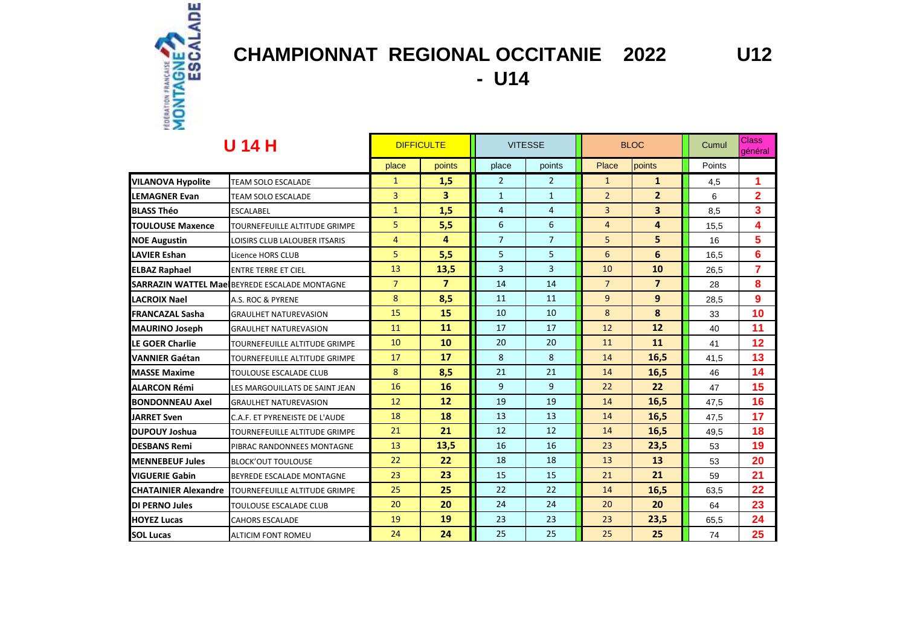

# **CHAMPIONNAT REGIONAL OCCITANIE 2022 U12**

**- U14** 

| U 14 H                      |                                                      | <b>DIFFICULTE</b> |                         | <b>VITESSE</b> |                | <b>BLOC</b>    |                         | Cumul  | <b>Class</b><br>général |
|-----------------------------|------------------------------------------------------|-------------------|-------------------------|----------------|----------------|----------------|-------------------------|--------|-------------------------|
|                             |                                                      | place             | points                  | place          | points         | Place          | points                  | Points |                         |
| <b>VILANOVA Hypolite</b>    | <b>TEAM SOLO ESCALADE</b>                            | $\mathbf{1}$      | 1,5                     | $\overline{2}$ | $\overline{2}$ | $\mathbf{1}$   | $\mathbf{1}$            | 4,5    | 1                       |
| <b>LEMAGNER Evan</b>        | <b>TEAM SOLO ESCALADE</b>                            | 3                 | 3                       | $\mathbf{1}$   | $\mathbf{1}$   | $\overline{2}$ | $\overline{2}$          | 6      | $\overline{2}$          |
| <b>BLASS Théo</b>           | <b>ESCALABEL</b>                                     | $\mathbf{1}$      | 1,5                     | $\overline{4}$ | 4              | $\overline{3}$ | $\overline{\mathbf{3}}$ | 8,5    | 3                       |
| <b>TOULOUSE Maxence</b>     | TOURNEFEUILLE ALTITUDE GRIMPE                        | 5                 | 5,5                     | 6              | 6              | $\overline{4}$ | 4                       | 15,5   | 4                       |
| <b>NOE Augustin</b>         | LOISIRS CLUB LALOUBER ITSARIS                        | 4                 | 4                       | $\overline{7}$ | $\overline{7}$ | 5              | 5                       | 16     | 5                       |
| <b>LAVIER Eshan</b>         | Licence HORS CLUB                                    | 5                 | 5,5                     | 5              | 5              | 6              | 6                       | 16,5   | 6                       |
| <b>ELBAZ Raphael</b>        | <b>ENTRE TERRE ET CIEL</b>                           | 13                | 13,5                    | 3              | 3              | 10             | 10                      | 26,5   | $\overline{7}$          |
|                             | <b>SARRAZIN WATTEL MaelBEYREDE ESCALADE MONTAGNE</b> | $\overline{7}$    | $\overline{\mathbf{z}}$ | 14             | 14             | $\overline{7}$ | $\overline{7}$          | 28     | 8                       |
| <b>LACROIX Nael</b>         | A.S. ROC & PYRENE                                    | 8                 | 8,5                     | 11             | 11             | 9              | 9                       | 28,5   | 9                       |
| <b>FRANCAZAL Sasha</b>      | <b>GRAULHET NATUREVASION</b>                         | 15                | 15                      | 10             | 10             | 8              | 8                       | 33     | 10                      |
| <b>MAURINO Joseph</b>       | <b>GRAULHET NATUREVASION</b>                         | 11                | 11                      | 17             | 17             | 12             | 12                      | 40     | 11                      |
| LE GOER Charlie             | TOURNEFEUILLE ALTITUDE GRIMPE                        | 10                | 10                      | 20             | 20             | 11             | 11                      | 41     | 12                      |
| <b>VANNIER Gaétan</b>       | TOURNEFEUILLE ALTITUDE GRIMPE                        | 17                | 17                      | 8              | 8              | 14             | 16,5                    | 41,5   | 13                      |
| <b>MASSE Maxime</b>         | TOULOUSE ESCALADE CLUB                               | 8                 | 8,5                     | 21             | 21             | 14             | 16,5                    | 46     | 14                      |
| <b>ALARCON Rémi</b>         | LES MARGOUILLATS DE SAINT JEAN                       | 16                | 16                      | 9              | 9              | 22             | 22                      | 47     | 15                      |
| <b>BONDONNEAU Axel</b>      | <b>GRAULHET NATUREVASION</b>                         | 12                | 12                      | 19             | 19             | 14             | 16,5                    | 47,5   | 16                      |
| <b>JARRET Sven</b>          | C.A.F. ET PYRENEISTE DE L'AUDE                       | 18                | 18                      | 13             | 13             | 14             | 16,5                    | 47,5   | 17                      |
| <b>DUPOUY Joshua</b>        | TOURNEFEUILLE ALTITUDE GRIMPE                        | 21                | 21                      | 12             | 12             | 14             | 16,5                    | 49,5   | 18                      |
| <b>DESBANS Remi</b>         | PIBRAC RANDONNEES MONTAGNE                           | 13                | 13,5                    | 16             | 16             | 23             | 23,5                    | 53     | 19                      |
| <b>MENNEBEUF Jules</b>      | <b>BLOCK'OUT TOULOUSE</b>                            | 22                | 22                      | 18             | 18             | 13             | 13                      | 53     | 20                      |
| <b>VIGUERIE Gabin</b>       | BEYREDE ESCALADE MONTAGNE                            | 23                | 23                      | 15             | 15             | 21             | 21                      | 59     | 21                      |
| <b>CHATAINIER Alexandre</b> | TOURNEFEUILLE ALTITUDE GRIMPE                        | 25                | 25                      | 22             | 22             | 14             | 16,5                    | 63,5   | 22                      |
| <b>DI PERNO Jules</b>       | TOULOUSE ESCALADE CLUB                               | 20                | 20                      | 24             | 24             | 20             | 20                      | 64     | 23                      |
| <b>HOYEZ Lucas</b>          | <b>CAHORS ESCALADE</b>                               | 19                | 19                      | 23             | 23             | 23             | 23,5                    | 65,5   | 24                      |
| <b>SOL Lucas</b>            | <b>ALTICIM FONT ROMEU</b>                            | 24                | 24                      | 25             | 25             | 25             | 25                      | 74     | 25                      |